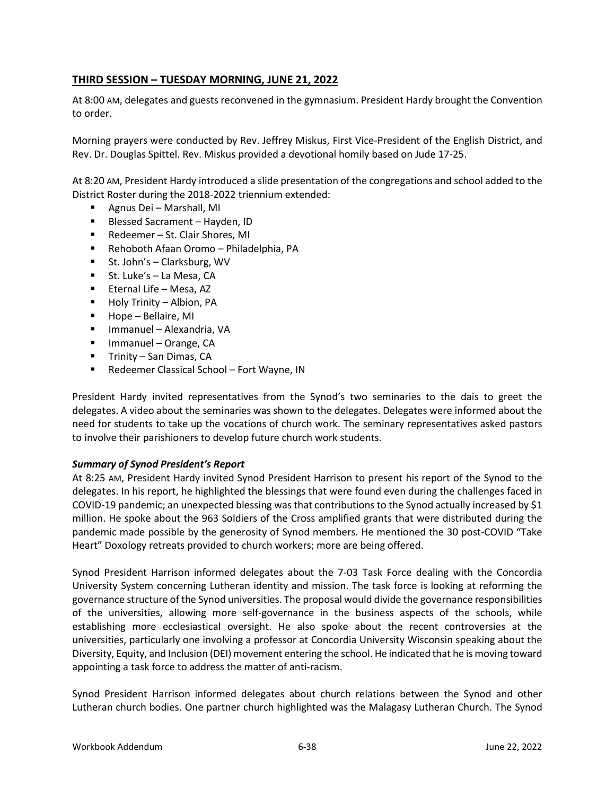# **THIRD SESSION – TUESDAY MORNING, JUNE 21, 2022**

At 8:00 AM, delegates and guests reconvened in the gymnasium. President Hardy brought the Convention to order.

Morning prayers were conducted by Rev. Jeffrey Miskus, First Vice-President of the English District, and Rev. Dr. Douglas Spittel. Rev. Miskus provided a devotional homily based on Jude 17-25.

At 8:20 AM, President Hardy introduced a slide presentation of the congregations and school added to the District Roster during the 2018-2022 triennium extended:

- Agnus Dei Marshall, MI
- **Blessed Sacrament Hayden, ID**
- Redeemer St. Clair Shores, MI
- Rehoboth Afaan Oromo Philadelphia, PA
- St. John's Clarksburg, WV
- St. Luke's La Mesa, CA
- **Eternal Life Mesa, AZ**
- **Holy Trinity Albion, PA**
- Hope Bellaire, MI
- Immanuel Alexandria, VA
- Immanuel Orange, CA
- $\blacksquare$  Trinity San Dimas, CA
- Redeemer Classical School Fort Wayne, IN

President Hardy invited representatives from the Synod's two seminaries to the dais to greet the delegates. A video about the seminaries was shown to the delegates. Delegates were informed about the need for students to take up the vocations of church work. The seminary representatives asked pastors to involve their parishioners to develop future church work students.

### *Summary of Synod President's Report*

At 8:25 AM, President Hardy invited Synod President Harrison to present his report of the Synod to the delegates. In his report, he highlighted the blessings that were found even during the challenges faced in COVID-19 pandemic; an unexpected blessing was that contributions to the Synod actually increased by \$1 million. He spoke about the 963 Soldiers of the Cross amplified grants that were distributed during the pandemic made possible by the generosity of Synod members. He mentioned the 30 post-COVID "Take Heart" Doxology retreats provided to church workers; more are being offered.

Synod President Harrison informed delegates about the 7-03 Task Force dealing with the Concordia University System concerning Lutheran identity and mission. The task force is looking at reforming the governance structure of the Synod universities. The proposal would divide the governance responsibilities of the universities, allowing more self-governance in the business aspects of the schools, while establishing more ecclesiastical oversight. He also spoke about the recent controversies at the universities, particularly one involving a professor at Concordia University Wisconsin speaking about the Diversity, Equity, and Inclusion (DEI) movement entering the school. He indicated that he is moving toward appointing a task force to address the matter of anti-racism.

Synod President Harrison informed delegates about church relations between the Synod and other Lutheran church bodies. One partner church highlighted was the Malagasy Lutheran Church. The Synod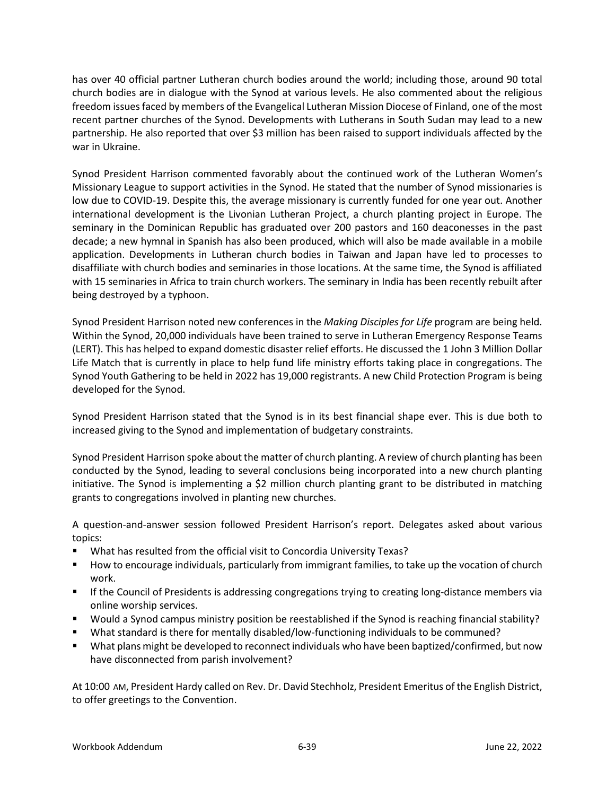has over 40 official partner Lutheran church bodies around the world; including those, around 90 total church bodies are in dialogue with the Synod at various levels. He also commented about the religious freedom issues faced by members of the Evangelical Lutheran Mission Diocese of Finland, one of the most recent partner churches of the Synod. Developments with Lutherans in South Sudan may lead to a new partnership. He also reported that over \$3 million has been raised to support individuals affected by the war in Ukraine.

Synod President Harrison commented favorably about the continued work of the Lutheran Women's Missionary League to support activities in the Synod. He stated that the number of Synod missionaries is low due to COVID-19. Despite this, the average missionary is currently funded for one year out. Another international development is the Livonian Lutheran Project, a church planting project in Europe. The seminary in the Dominican Republic has graduated over 200 pastors and 160 deaconesses in the past decade; a new hymnal in Spanish has also been produced, which will also be made available in a mobile application. Developments in Lutheran church bodies in Taiwan and Japan have led to processes to disaffiliate with church bodies and seminaries in those locations. At the same time, the Synod is affiliated with 15 seminaries in Africa to train church workers. The seminary in India has been recently rebuilt after being destroyed by a typhoon.

Synod President Harrison noted new conferences in the *Making Disciples for Life* program are being held. Within the Synod, 20,000 individuals have been trained to serve in Lutheran Emergency Response Teams (LERT). This has helped to expand domestic disaster relief efforts. He discussed the 1 John 3 Million Dollar Life Match that is currently in place to help fund life ministry efforts taking place in congregations. The Synod Youth Gathering to be held in 2022 has 19,000 registrants. A new Child Protection Program is being developed for the Synod.

Synod President Harrison stated that the Synod is in its best financial shape ever. This is due both to increased giving to the Synod and implementation of budgetary constraints.

Synod President Harrison spoke about the matter of church planting. A review of church planting has been conducted by the Synod, leading to several conclusions being incorporated into a new church planting initiative. The Synod is implementing a \$2 million church planting grant to be distributed in matching grants to congregations involved in planting new churches.

A question-and-answer session followed President Harrison's report. Delegates asked about various topics:

- What has resulted from the official visit to Concordia University Texas?
- How to encourage individuals, particularly from immigrant families, to take up the vocation of church work.
- **If the Council of Presidents is addressing congregations trying to creating long-distance members via** online worship services.
- Would a Synod campus ministry position be reestablished if the Synod is reaching financial stability?
- What standard is there for mentally disabled/low-functioning individuals to be communed?
- What plans might be developed to reconnect individuals who have been baptized/confirmed, but now have disconnected from parish involvement?

At 10:00 AM, President Hardy called on Rev. Dr. David Stechholz, President Emeritus of the English District, to offer greetings to the Convention.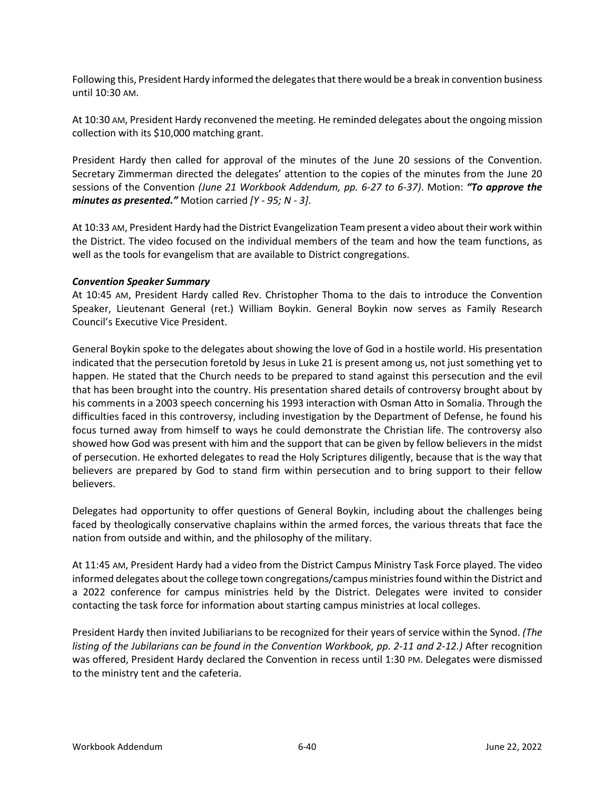Following this, President Hardy informed the delegates that there would be a break in convention business until 10:30 AM.

At 10:30 AM, President Hardy reconvened the meeting. He reminded delegates about the ongoing mission collection with its \$10,000 matching grant.

President Hardy then called for approval of the minutes of the June 20 sessions of the Convention. Secretary Zimmerman directed the delegates' attention to the copies of the minutes from the June 20 sessions of the Convention *(June 21 Workbook Addendum, pp. 6-27 to 6-37)*. Motion: *"To approve the minutes as presented."* Motion carried *[Y - 95; N - 3]*.

At 10:33 AM, President Hardy had the District Evangelization Team present a video about their work within the District. The video focused on the individual members of the team and how the team functions, as well as the tools for evangelism that are available to District congregations.

#### *Convention Speaker Summary*

At 10:45 AM, President Hardy called Rev. Christopher Thoma to the dais to introduce the Convention Speaker, Lieutenant General (ret.) William Boykin. General Boykin now serves as Family Research Council's Executive Vice President.

General Boykin spoke to the delegates about showing the love of God in a hostile world. His presentation indicated that the persecution foretold by Jesus in Luke 21 is present among us, not just something yet to happen. He stated that the Church needs to be prepared to stand against this persecution and the evil that has been brought into the country. His presentation shared details of controversy brought about by his comments in a 2003 speech concerning his 1993 interaction with Osman Atto in Somalia. Through the difficulties faced in this controversy, including investigation by the Department of Defense, he found his focus turned away from himself to ways he could demonstrate the Christian life. The controversy also showed how God was present with him and the support that can be given by fellow believers in the midst of persecution. He exhorted delegates to read the Holy Scriptures diligently, because that is the way that believers are prepared by God to stand firm within persecution and to bring support to their fellow believers.

Delegates had opportunity to offer questions of General Boykin, including about the challenges being faced by theologically conservative chaplains within the armed forces, the various threats that face the nation from outside and within, and the philosophy of the military.

At 11:45 AM, President Hardy had a video from the District Campus Ministry Task Force played. The video informed delegates about the college town congregations/campus ministries found within the District and a 2022 conference for campus ministries held by the District. Delegates were invited to consider contacting the task force for information about starting campus ministries at local colleges.

President Hardy then invited Jubiliarians to be recognized for their years of service within the Synod. *(The listing of the Jubilarians can be found in the Convention Workbook, pp. 2-11 and 2-12.)* After recognition was offered, President Hardy declared the Convention in recess until 1:30 PM. Delegates were dismissed to the ministry tent and the cafeteria.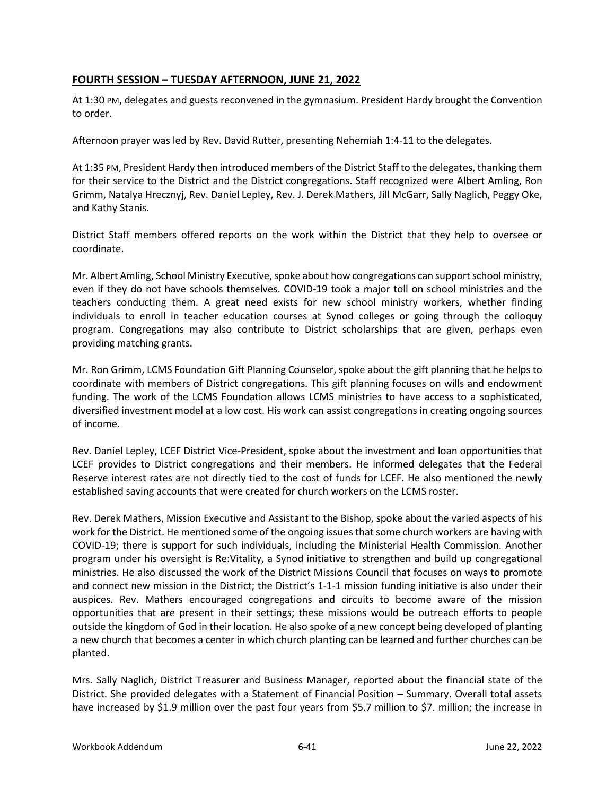# **FOURTH SESSION – TUESDAY AFTERNOON, JUNE 21, 2022**

At 1:30 PM, delegates and guests reconvened in the gymnasium. President Hardy brought the Convention to order.

Afternoon prayer was led by Rev. David Rutter, presenting Nehemiah 1:4-11 to the delegates.

At 1:35 PM, President Hardy then introduced members of the District Staff to the delegates, thanking them for their service to the District and the District congregations. Staff recognized were Albert Amling, Ron Grimm, Natalya Hrecznyj, Rev. Daniel Lepley, Rev. J. Derek Mathers, Jill McGarr, Sally Naglich, Peggy Oke, and Kathy Stanis.

District Staff members offered reports on the work within the District that they help to oversee or coordinate.

Mr. Albert Amling, School Ministry Executive, spoke about how congregations can support school ministry, even if they do not have schools themselves. COVID-19 took a major toll on school ministries and the teachers conducting them. A great need exists for new school ministry workers, whether finding individuals to enroll in teacher education courses at Synod colleges or going through the colloquy program. Congregations may also contribute to District scholarships that are given, perhaps even providing matching grants.

Mr. Ron Grimm, LCMS Foundation Gift Planning Counselor, spoke about the gift planning that he helps to coordinate with members of District congregations. This gift planning focuses on wills and endowment funding. The work of the LCMS Foundation allows LCMS ministries to have access to a sophisticated, diversified investment model at a low cost. His work can assist congregations in creating ongoing sources of income.

Rev. Daniel Lepley, LCEF District Vice-President, spoke about the investment and loan opportunities that LCEF provides to District congregations and their members. He informed delegates that the Federal Reserve interest rates are not directly tied to the cost of funds for LCEF. He also mentioned the newly established saving accounts that were created for church workers on the LCMS roster.

Rev. Derek Mathers, Mission Executive and Assistant to the Bishop, spoke about the varied aspects of his work for the District. He mentioned some of the ongoing issues that some church workers are having with COVID-19; there is support for such individuals, including the Ministerial Health Commission. Another program under his oversight is Re:Vitality, a Synod initiative to strengthen and build up congregational ministries. He also discussed the work of the District Missions Council that focuses on ways to promote and connect new mission in the District; the District's 1-1-1 mission funding initiative is also under their auspices. Rev. Mathers encouraged congregations and circuits to become aware of the mission opportunities that are present in their settings; these missions would be outreach efforts to people outside the kingdom of God in their location. He also spoke of a new concept being developed of planting a new church that becomes a center in which church planting can be learned and further churches can be planted.

Mrs. Sally Naglich, District Treasurer and Business Manager, reported about the financial state of the District. She provided delegates with a Statement of Financial Position – Summary. Overall total assets have increased by \$1.9 million over the past four years from \$5.7 million to \$7. million; the increase in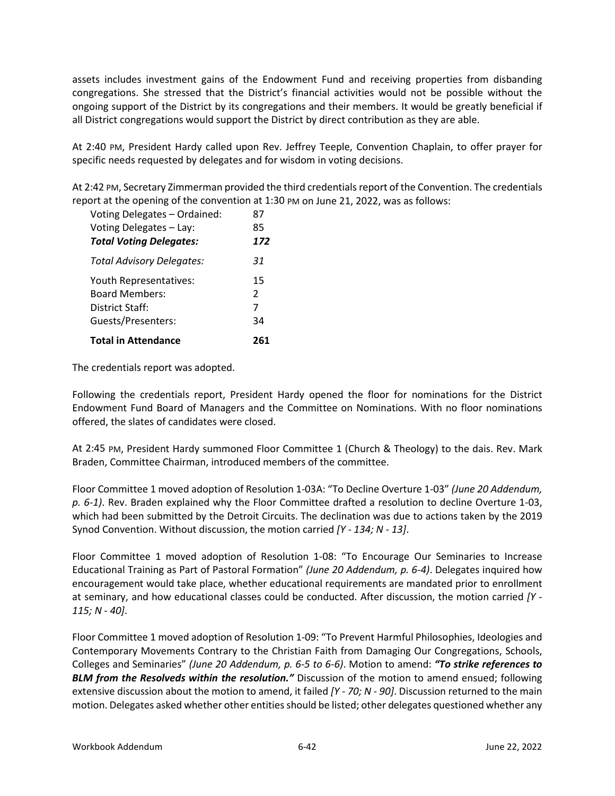assets includes investment gains of the Endowment Fund and receiving properties from disbanding congregations. She stressed that the District's financial activities would not be possible without the ongoing support of the District by its congregations and their members. It would be greatly beneficial if all District congregations would support the District by direct contribution as they are able.

At 2:40 PM, President Hardy called upon Rev. Jeffrey Teeple, Convention Chaplain, to offer prayer for specific needs requested by delegates and for wisdom in voting decisions.

At 2:42 PM, Secretary Zimmerman provided the third credentials report of the Convention. The credentials report at the opening of the convention at 1:30 PM on June 21, 2022, was as follows:

| Voting Delegates - Ordained:     | 87            |
|----------------------------------|---------------|
| Voting Delegates - Lay:          | 85            |
| <b>Total Voting Delegates:</b>   | 172           |
| <b>Total Advisory Delegates:</b> | 31            |
| Youth Representatives:           | 15            |
| <b>Board Members:</b>            | $\mathcal{P}$ |
| District Staff:                  | 7             |
| Guests/Presenters:               | 34            |
| <b>Total in Attendance</b>       | 261           |

The credentials report was adopted.

Following the credentials report, President Hardy opened the floor for nominations for the District Endowment Fund Board of Managers and the Committee on Nominations. With no floor nominations offered, the slates of candidates were closed.

At 2:45 PM, President Hardy summoned Floor Committee 1 (Church & Theology) to the dais. Rev. Mark Braden, Committee Chairman, introduced members of the committee.

Floor Committee 1 moved adoption of Resolution 1-03A: "To Decline Overture 1-03" *(June 20 Addendum, p. 6-1)*. Rev. Braden explained why the Floor Committee drafted a resolution to decline Overture 1-03, which had been submitted by the Detroit Circuits. The declination was due to actions taken by the 2019 Synod Convention. Without discussion, the motion carried *[Y - 134; N - 13]*.

Floor Committee 1 moved adoption of Resolution 1-08: "To Encourage Our Seminaries to Increase Educational Training as Part of Pastoral Formation" *(June 20 Addendum, p. 6-4)*. Delegates inquired how encouragement would take place, whether educational requirements are mandated prior to enrollment at seminary, and how educational classes could be conducted. After discussion, the motion carried *[Y - 115; N - 40]*.

Floor Committee 1 moved adoption of Resolution 1-09: "To Prevent Harmful Philosophies, Ideologies and Contemporary Movements Contrary to the Christian Faith from Damaging Our Congregations, Schools, Colleges and Seminaries" *(June 20 Addendum, p. 6-5 to 6-6)*. Motion to amend: *"To strike references to BLM from the Resolveds within the resolution."* Discussion of the motion to amend ensued; following extensive discussion about the motion to amend, it failed *[Y - 70; N - 90]*. Discussion returned to the main motion. Delegates asked whether other entities should be listed; other delegates questioned whether any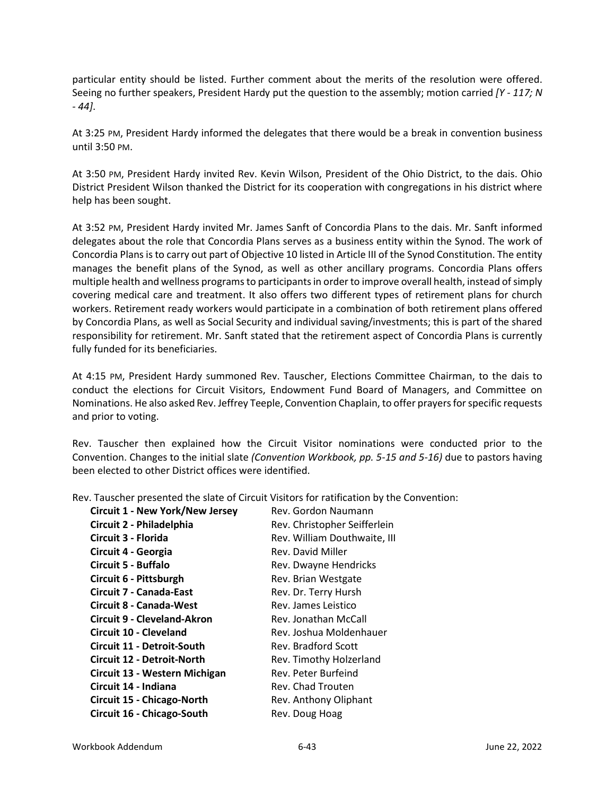particular entity should be listed. Further comment about the merits of the resolution were offered. Seeing no further speakers, President Hardy put the question to the assembly; motion carried *[Y - 117; N - 44]*.

At 3:25 PM, President Hardy informed the delegates that there would be a break in convention business until 3:50 PM.

At 3:50 PM, President Hardy invited Rev. Kevin Wilson, President of the Ohio District, to the dais. Ohio District President Wilson thanked the District for its cooperation with congregations in his district where help has been sought.

At 3:52 PM, President Hardy invited Mr. James Sanft of Concordia Plans to the dais. Mr. Sanft informed delegates about the role that Concordia Plans serves as a business entity within the Synod. The work of Concordia Plans is to carry out part of Objective 10 listed in Article III of the Synod Constitution. The entity manages the benefit plans of the Synod, as well as other ancillary programs. Concordia Plans offers multiple health and wellness programs to participants in order to improve overall health, instead of simply covering medical care and treatment. It also offers two different types of retirement plans for church workers. Retirement ready workers would participate in a combination of both retirement plans offered by Concordia Plans, as well as Social Security and individual saving/investments; this is part of the shared responsibility for retirement. Mr. Sanft stated that the retirement aspect of Concordia Plans is currently fully funded for its beneficiaries.

At 4:15 PM, President Hardy summoned Rev. Tauscher, Elections Committee Chairman, to the dais to conduct the elections for Circuit Visitors, Endowment Fund Board of Managers, and Committee on Nominations. He also asked Rev. Jeffrey Teeple, Convention Chaplain, to offer prayers for specific requests and prior to voting.

Rev. Tauscher then explained how the Circuit Visitor nominations were conducted prior to the Convention. Changes to the initial slate *(Convention Workbook, pp. 5-15 and 5-16)* due to pastors having been elected to other District offices were identified.

Rev. Tauscher presented the slate of Circuit Visitors for ratification by the Convention:

| <b>Circuit 1 - New York/New Jersey</b> | Rev. Gordon Naumann          |
|----------------------------------------|------------------------------|
| Circuit 2 - Philadelphia               | Rev. Christopher Seifferlein |
| Circuit 3 - Florida                    | Rev. William Douthwaite, III |
| Circuit 4 - Georgia                    | Rev. David Miller            |
| <b>Circuit 5 - Buffalo</b>             | Rev. Dwayne Hendricks        |
| Circuit 6 - Pittsburgh                 | Rev. Brian Westgate          |
| <b>Circuit 7 - Canada-East</b>         | Rev. Dr. Terry Hursh         |
| Circuit 8 - Canada-West                | Rev. James Leistico          |
| Circuit 9 - Cleveland-Akron            | Rev. Jonathan McCall         |
| <b>Circuit 10 - Cleveland</b>          | Rev. Joshua Moldenhauer      |
| Circuit 11 - Detroit-South             | Rev. Bradford Scott          |
| <b>Circuit 12 - Detroit-North</b>      | Rev. Timothy Holzerland      |
| Circuit 13 - Western Michigan          | Rev. Peter Burfeind          |
| Circuit 14 - Indiana                   | Rev. Chad Trouten            |
| Circuit 15 - Chicago-North             | Rev. Anthony Oliphant        |
| Circuit 16 - Chicago-South             | Rev. Doug Hoag               |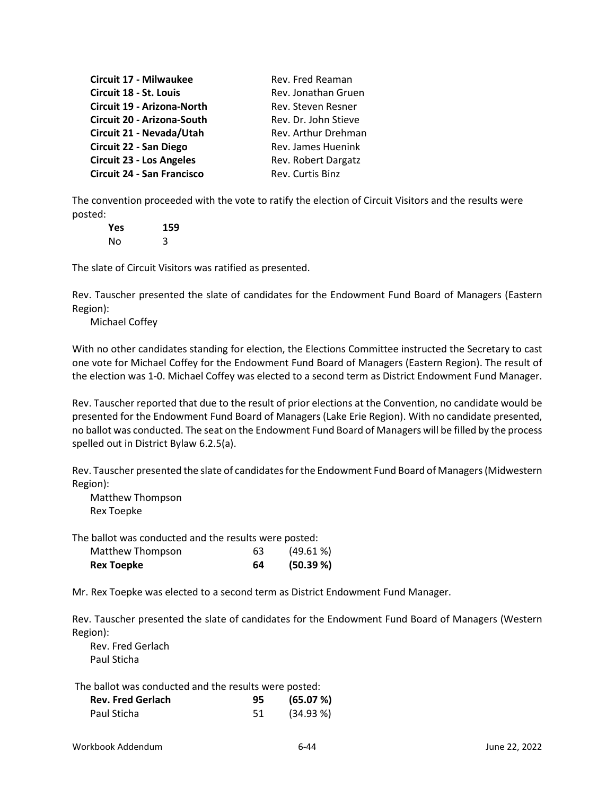| Circuit 17 - Milwaukee            | Rev. Fred Reaman     |
|-----------------------------------|----------------------|
| Circuit 18 - St. Louis            | Rev. Jonathan Gruen  |
| Circuit 19 - Arizona-North        | Rev. Steven Resner   |
| Circuit 20 - Arizona-South        | Rev. Dr. John Stieve |
| Circuit 21 - Nevada/Utah          | Rev. Arthur Drehman  |
| Circuit 22 - San Diego            | Rev. James Huenink   |
| <b>Circuit 23 - Los Angeles</b>   | Rev. Robert Dargatz  |
| <b>Circuit 24 - San Francisco</b> | Rev. Curtis Binz     |

The convention proceeded with the vote to ratify the election of Circuit Visitors and the results were posted:

**Yes 159** No 3

The slate of Circuit Visitors was ratified as presented.

Rev. Tauscher presented the slate of candidates for the Endowment Fund Board of Managers (Eastern Region):

Michael Coffey

With no other candidates standing for election, the Elections Committee instructed the Secretary to cast one vote for Michael Coffey for the Endowment Fund Board of Managers (Eastern Region). The result of the election was 1-0. Michael Coffey was elected to a second term as District Endowment Fund Manager.

Rev. Tauscher reported that due to the result of prior elections at the Convention, no candidate would be presented for the Endowment Fund Board of Managers (Lake Erie Region). With no candidate presented, no ballot was conducted. The seat on the Endowment Fund Board of Managers will be filled by the process spelled out in District Bylaw 6.2.5(a).

Rev. Tauscher presented the slate of candidates for the Endowment Fund Board of Managers (Midwestern Region):

Matthew Thompson Rex Toepke

The ballot was conducted and the results were posted:

| <b>Rex Toepke</b> | 64 | (50.39%)    |
|-------------------|----|-------------|
| Matthew Thompson  | 63 | $(49.61\%)$ |

Mr. Rex Toepke was elected to a second term as District Endowment Fund Manager.

Rev. Tauscher presented the slate of candidates for the Endowment Fund Board of Managers (Western Region):

Rev. Fred Gerlach Paul Sticha

The ballot was conducted and the results were posted:

| <b>Rev. Fred Gerlach</b> | 95. | (65.07%)  |
|--------------------------|-----|-----------|
| Paul Sticha              | 51  | (34.93 %) |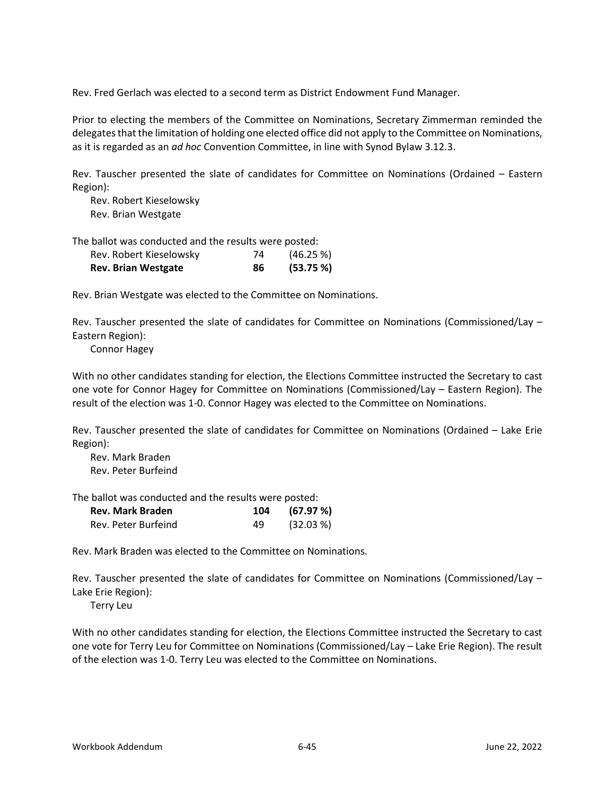Rev. Fred Gerlach was elected to a second term as District Endowment Fund Manager.

Prior to electing the members of the Committee on Nominations, Secretary Zimmerman reminded the delegates that the limitation of holding one elected office did not apply to the Committee on Nominations, as it is regarded as an *ad hoc* Convention Committee, in line with Synod Bylaw 3.12.3.

Rev. Tauscher presented the slate of candidates for Committee on Nominations (Ordained – Eastern Region):

Rev. Robert Kieselowsky Rev. Brian Westgate

The ballot was conducted and the results were posted:

| <b>Rev. Brian Westgate</b> | 86 | (53.75%) |
|----------------------------|----|----------|
| Rev. Robert Kieselowsky    | 74 | (46.25%) |

Rev. Brian Westgate was elected to the Committee on Nominations.

Rev. Tauscher presented the slate of candidates for Committee on Nominations (Commissioned/Lay – Eastern Region):

Connor Hagey

With no other candidates standing for election, the Elections Committee instructed the Secretary to cast one vote for Connor Hagey for Committee on Nominations (Commissioned/Lay – Eastern Region). The result of the election was 1-0. Connor Hagey was elected to the Committee on Nominations.

Rev. Tauscher presented the slate of candidates for Committee on Nominations (Ordained – Lake Erie Region):

Rev. Mark Braden Rev. Peter Burfeind

The ballot was conducted and the results were posted:

| <b>Rev. Mark Braden</b> | 104 | (67.97 %) |
|-------------------------|-----|-----------|
| Rev. Peter Burfeind     | 49  | (32.03 %) |

Rev. Mark Braden was elected to the Committee on Nominations.

Rev. Tauscher presented the slate of candidates for Committee on Nominations (Commissioned/Lay – Lake Erie Region):

Terry Leu

With no other candidates standing for election, the Elections Committee instructed the Secretary to cast one vote for Terry Leu for Committee on Nominations (Commissioned/Lay – Lake Erie Region). The result of the election was 1-0. Terry Leu was elected to the Committee on Nominations.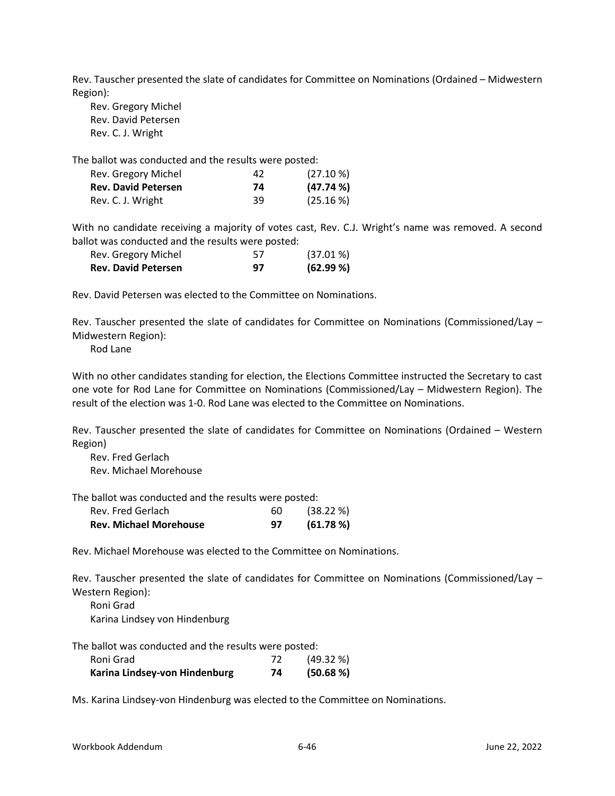Rev. Tauscher presented the slate of candidates for Committee on Nominations (Ordained – Midwestern Region):

Rev. Gregory Michel Rev. David Petersen Rev. C. J. Wright

The ballot was conducted and the results were posted:

| Rev. Gregory Michel        | 42 | $(27.10\%)$ |
|----------------------------|----|-------------|
| <b>Rev. David Petersen</b> | 74 | (47.74%     |
| Rev. C. J. Wright          | 39 | $(25.16\%)$ |

With no candidate receiving a majority of votes cast, Rev. C.J. Wright's name was removed. A second ballot was conducted and the results were posted:

| Rev. Gregory Michel<br><b>Rev. David Petersen</b> | 57 | $(37.01\%)$ |
|---------------------------------------------------|----|-------------|
|                                                   | 97 | (62.99%)    |

Rev. David Petersen was elected to the Committee on Nominations.

Rev. Tauscher presented the slate of candidates for Committee on Nominations (Commissioned/Lay – Midwestern Region):

Rod Lane

With no other candidates standing for election, the Elections Committee instructed the Secretary to cast one vote for Rod Lane for Committee on Nominations (Commissioned/Lay – Midwestern Region). The result of the election was 1-0. Rod Lane was elected to the Committee on Nominations.

Rev. Tauscher presented the slate of candidates for Committee on Nominations (Ordained – Western Region)

Rev. Fred Gerlach Rev. Michael Morehouse

The ballot was conducted and the results were posted:

| Rev. Fred Gerlach             | 60 | (38.22%) |
|-------------------------------|----|----------|
| <b>Rev. Michael Morehouse</b> | 97 | (61.78%) |

Rev. Michael Morehouse was elected to the Committee on Nominations.

Rev. Tauscher presented the slate of candidates for Committee on Nominations (Commissioned/Lay – Western Region):

Roni Grad Karina Lindsey von Hindenburg

The ballot was conducted and the results were posted:

| Roni Grad                     |    | (49.32%)  |
|-------------------------------|----|-----------|
| Karina Lindsey-von Hindenburg | 74 | (50.68 %) |

Ms. Karina Lindsey-von Hindenburg was elected to the Committee on Nominations.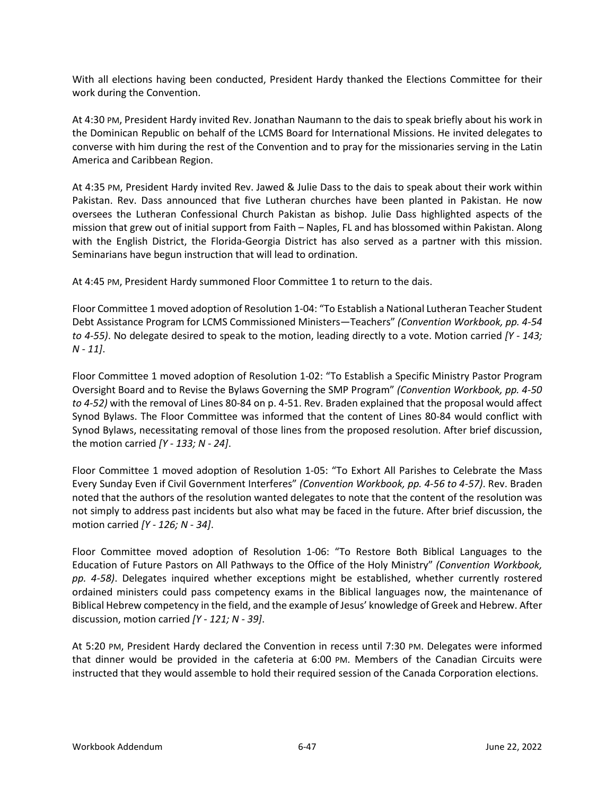With all elections having been conducted, President Hardy thanked the Elections Committee for their work during the Convention.

At 4:30 PM, President Hardy invited Rev. Jonathan Naumann to the dais to speak briefly about his work in the Dominican Republic on behalf of the LCMS Board for International Missions. He invited delegates to converse with him during the rest of the Convention and to pray for the missionaries serving in the Latin America and Caribbean Region.

At 4:35 PM, President Hardy invited Rev. Jawed & Julie Dass to the dais to speak about their work within Pakistan. Rev. Dass announced that five Lutheran churches have been planted in Pakistan. He now oversees the Lutheran Confessional Church Pakistan as bishop. Julie Dass highlighted aspects of the mission that grew out of initial support from Faith – Naples, FL and has blossomed within Pakistan. Along with the English District, the Florida-Georgia District has also served as a partner with this mission. Seminarians have begun instruction that will lead to ordination.

At 4:45 PM, President Hardy summoned Floor Committee 1 to return to the dais.

Floor Committee 1 moved adoption of Resolution 1-04: "To Establish a National Lutheran Teacher Student Debt Assistance Program for LCMS Commissioned Ministers—Teachers" *(Convention Workbook, pp. 4-54 to 4-55)*. No delegate desired to speak to the motion, leading directly to a vote. Motion carried *[Y - 143; N - 11]*.

Floor Committee 1 moved adoption of Resolution 1-02: "To Establish a Specific Ministry Pastor Program Oversight Board and to Revise the Bylaws Governing the SMP Program" *(Convention Workbook, pp. 4-50 to 4-52)* with the removal of Lines 80-84 on p. 4-51. Rev. Braden explained that the proposal would affect Synod Bylaws. The Floor Committee was informed that the content of Lines 80-84 would conflict with Synod Bylaws, necessitating removal of those lines from the proposed resolution. After brief discussion, the motion carried *[Y - 133; N - 24]*.

Floor Committee 1 moved adoption of Resolution 1-05: "To Exhort All Parishes to Celebrate the Mass Every Sunday Even if Civil Government Interferes" *(Convention Workbook, pp. 4-56 to 4-57)*. Rev. Braden noted that the authors of the resolution wanted delegates to note that the content of the resolution was not simply to address past incidents but also what may be faced in the future. After brief discussion, the motion carried *[Y - 126; N - 34]*.

Floor Committee moved adoption of Resolution 1-06: "To Restore Both Biblical Languages to the Education of Future Pastors on All Pathways to the Office of the Holy Ministry" *(Convention Workbook, pp. 4-58)*. Delegates inquired whether exceptions might be established, whether currently rostered ordained ministers could pass competency exams in the Biblical languages now, the maintenance of Biblical Hebrew competency in the field, and the example of Jesus' knowledge of Greek and Hebrew. After discussion, motion carried *[Y - 121; N - 39]*.

At 5:20 PM, President Hardy declared the Convention in recess until 7:30 PM. Delegates were informed that dinner would be provided in the cafeteria at 6:00 PM. Members of the Canadian Circuits were instructed that they would assemble to hold their required session of the Canada Corporation elections.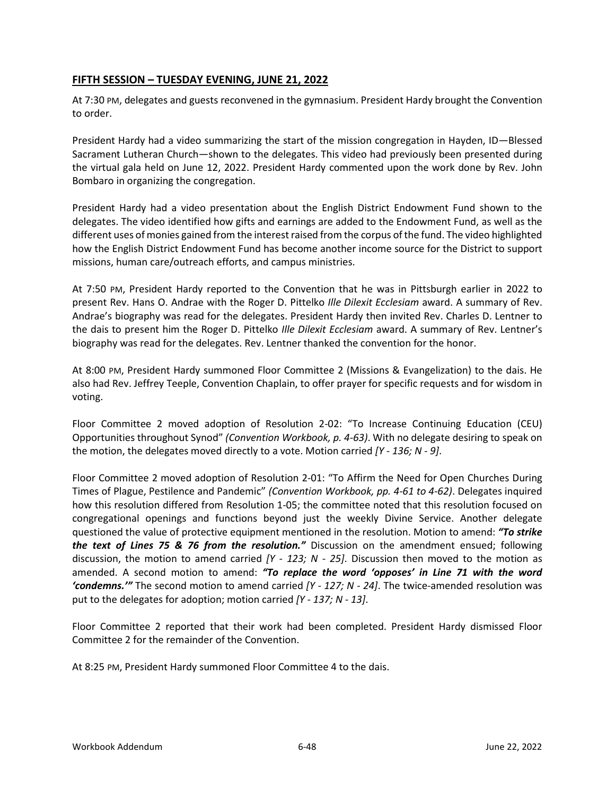### **FIFTH SESSION – TUESDAY EVENING, JUNE 21, 2022**

At 7:30 PM, delegates and guests reconvened in the gymnasium. President Hardy brought the Convention to order.

President Hardy had a video summarizing the start of the mission congregation in Hayden, ID—Blessed Sacrament Lutheran Church—shown to the delegates. This video had previously been presented during the virtual gala held on June 12, 2022. President Hardy commented upon the work done by Rev. John Bombaro in organizing the congregation.

President Hardy had a video presentation about the English District Endowment Fund shown to the delegates. The video identified how gifts and earnings are added to the Endowment Fund, as well as the different uses of monies gained from the interest raised from the corpus of the fund. The video highlighted how the English District Endowment Fund has become another income source for the District to support missions, human care/outreach efforts, and campus ministries.

At 7:50 PM, President Hardy reported to the Convention that he was in Pittsburgh earlier in 2022 to present Rev. Hans O. Andrae with the Roger D. Pittelko *Ille Dilexit Ecclesiam* award. A summary of Rev. Andrae's biography was read for the delegates. President Hardy then invited Rev. Charles D. Lentner to the dais to present him the Roger D. Pittelko *Ille Dilexit Ecclesiam* award. A summary of Rev. Lentner's biography was read for the delegates. Rev. Lentner thanked the convention for the honor.

At 8:00 PM, President Hardy summoned Floor Committee 2 (Missions & Evangelization) to the dais. He also had Rev. Jeffrey Teeple, Convention Chaplain, to offer prayer for specific requests and for wisdom in voting.

Floor Committee 2 moved adoption of Resolution 2-02: "To Increase Continuing Education (CEU) Opportunities throughout Synod" *(Convention Workbook, p. 4-63)*. With no delegate desiring to speak on the motion, the delegates moved directly to a vote. Motion carried *[Y - 136; N - 9]*.

Floor Committee 2 moved adoption of Resolution 2-01: "To Affirm the Need for Open Churches During Times of Plague, Pestilence and Pandemic" *(Convention Workbook, pp. 4-61 to 4-62)*. Delegates inquired how this resolution differed from Resolution 1-05; the committee noted that this resolution focused on congregational openings and functions beyond just the weekly Divine Service. Another delegate questioned the value of protective equipment mentioned in the resolution. Motion to amend: *"To strike the text of Lines 75 & 76 from the resolution."* Discussion on the amendment ensued; following discussion, the motion to amend carried *[Y - 123; N - 25]*. Discussion then moved to the motion as amended. A second motion to amend: *"To replace the word 'opposes' in Line 71 with the word 'condemns.'"* The second motion to amend carried *[Y - 127; N - 24]*. The twice-amended resolution was put to the delegates for adoption; motion carried *[Y - 137; N - 13]*.

Floor Committee 2 reported that their work had been completed. President Hardy dismissed Floor Committee 2 for the remainder of the Convention.

At 8:25 PM, President Hardy summoned Floor Committee 4 to the dais.